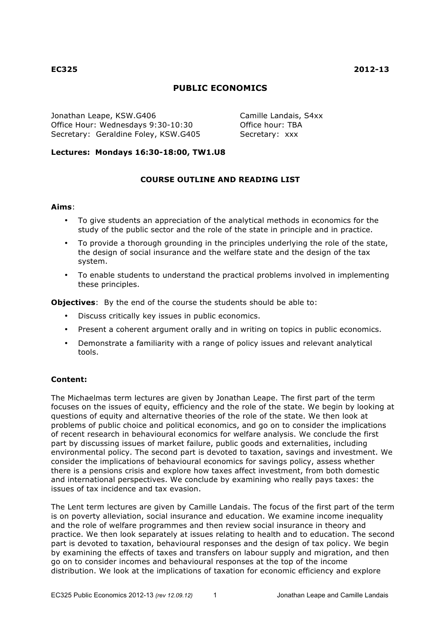# **PUBLIC ECONOMICS**

Jonathan Leape, KSW.G406 Camille Landais, S4xx Office Hour: Wednesdays 9:30-10:30 Question Office hour: TBA Secretary: Geraldine Foley, KSW.G405 Secretary: xxx

### **Lectures: Mondays 16:30-18:00, TW1.U8**

## **COURSE OUTLINE AND READING LIST**

#### **Aims**:

- To give students an appreciation of the analytical methods in economics for the study of the public sector and the role of the state in principle and in practice.
- To provide a thorough grounding in the principles underlying the role of the state, the design of social insurance and the welfare state and the design of the tax system.
- To enable students to understand the practical problems involved in implementing these principles.

**Objectives**: By the end of the course the students should be able to:

- Discuss critically key issues in public economics.
- Present a coherent argument orally and in writing on topics in public economics.
- Demonstrate a familiarity with a range of policy issues and relevant analytical tools.

### **Content:**

The Michaelmas term lectures are given by Jonathan Leape. The first part of the term focuses on the issues of equity, efficiency and the role of the state. We begin by looking at questions of equity and alternative theories of the role of the state. We then look at problems of public choice and political economics, and go on to consider the implications of recent research in behavioural economics for welfare analysis. We conclude the first part by discussing issues of market failure, public goods and externalities, including environmental policy. The second part is devoted to taxation, savings and investment. We consider the implications of behavioural economics for savings policy, assess whether there is a pensions crisis and explore how taxes affect investment, from both domestic and international perspectives. We conclude by examining who really pays taxes: the issues of tax incidence and tax evasion.

The Lent term lectures are given by Camille Landais. The focus of the first part of the term is on poverty alleviation, social insurance and education. We examine income inequality and the role of welfare programmes and then review social insurance in theory and practice. We then look separately at issues relating to health and to education. The second part is devoted to taxation, behavioural responses and the design of tax policy. We begin by examining the effects of taxes and transfers on labour supply and migration, and then go on to consider incomes and behavioural responses at the top of the income distribution. We look at the implications of taxation for economic efficiency and explore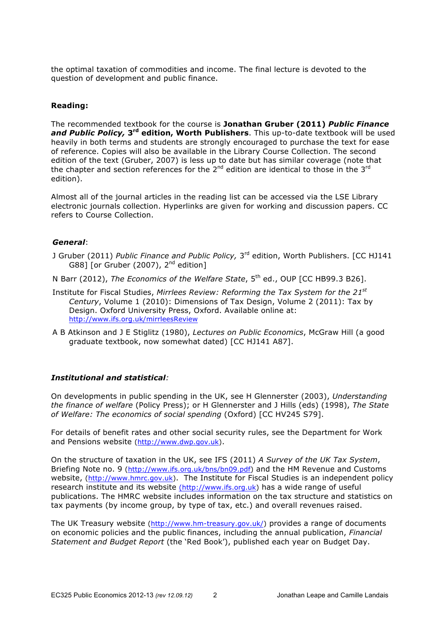the optimal taxation of commodities and income. The final lecture is devoted to the question of development and public finance.

### **Reading:**

The recommended textbook for the course is **Jonathan Gruber (2011)** *Public Finance and Public Policy,* **3rd edition, Worth Publishers**. This up-to-date textbook will be used heavily in both terms and students are strongly encouraged to purchase the text for ease of reference. Copies will also be available in the Library Course Collection. The second edition of the text (Gruber, 2007) is less up to date but has similar coverage (note that the chapter and section references for the  $2^{nd}$  edition are identical to those in the  $3^{rd}$ edition).

Almost all of the journal articles in the reading list can be accessed via the LSE Library electronic journals collection. Hyperlinks are given for working and discussion papers. CC refers to Course Collection.

### *General*:

- J Gruber (2011) *Public Finance and Public Policy,* 3rd edition, Worth Publishers. [CC HJ141 G88] [or Gruber (2007),  $2^{nd}$  edition]
- N Barr (2012), *The Economics of the Welfare State*, 5th ed., OUP [CC HB99.3 B26].
- Institute for Fiscal Studies, *Mirrlees Review: Reforming the Tax System for the 21st Century*, Volume 1 (2010): Dimensions of Tax Design, Volume 2 (2011): Tax by Design. Oxford University Press, Oxford. Available online at: http://www.ifs.org.uk/mirrleesReview
- A B Atkinson and J E Stiglitz (1980), *Lectures on Public Economics*, McGraw Hill (a good graduate textbook, now somewhat dated) [CC HJ141 A87].

### *Institutional and statistical:*

On developments in public spending in the UK, see H Glennerster (2003), *Understanding the finance of welfare* (Policy Press); or H Glennerster and J Hills (eds) (1998), *The State of Welfare: The economics of social spending* (Oxford) [CC HV245 S79].

For details of benefit rates and other social security rules, see the Department for Work and Pensions website (http://www.dwp.gov.uk).

On the structure of taxation in the UK, see IFS (2011) *A Survey of the UK Tax System*, Briefing Note no. 9 (http://www.ifs.org.uk/bns/bn09.pdf) and the HM Revenue and Customs website, (http://www.hmrc.gov.uk). The Institute for Fiscal Studies is an independent policy research institute and its website (http://www.ifs.org.uk) has a wide range of useful publications. The HMRC website includes information on the tax structure and statistics on tax payments (by income group, by type of tax, etc.) and overall revenues raised.

The UK Treasury website (http://www.hm-treasury.gov.uk/) provides a range of documents on economic policies and the public finances, including the annual publication, *Financial Statement and Budget Report* (the 'Red Book'), published each year on Budget Day.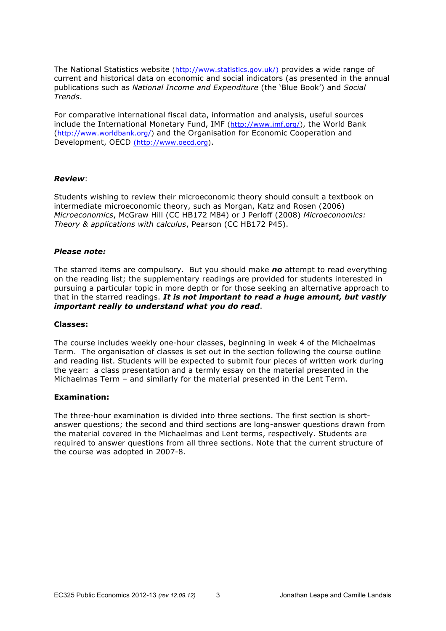The National Statistics website (http://www.statistics.gov.uk/) provides a wide range of current and historical data on economic and social indicators (as presented in the annual publications such as *National Income and Expenditure* (the 'Blue Book') and *Social Trends*.

For comparative international fiscal data, information and analysis, useful sources include the International Monetary Fund, IMF (http://www.imf.org/), the World Bank (http://www.worldbank.org/) and the Organisation for Economic Cooperation and Development, OECD (http://www.oecd.org).

#### *Review*:

Students wishing to review their microeconomic theory should consult a textbook on intermediate microeconomic theory, such as Morgan, Katz and Rosen (2006) *Microeconomics*, McGraw Hill (CC HB172 M84) or J Perloff (2008) *Microeconomics: Theory & applications with calculus*, Pearson (CC HB172 P45).

#### *Please note:*

The starred items are compulsory. But you should make *no* attempt to read everything on the reading list; the supplementary readings are provided for students interested in pursuing a particular topic in more depth or for those seeking an alternative approach to that in the starred readings. *It is not important to read a huge amount, but vastly important really to understand what you do read*.

#### **Classes:**

The course includes weekly one-hour classes, beginning in week 4 of the Michaelmas Term. The organisation of classes is set out in the section following the course outline and reading list. Students will be expected to submit four pieces of written work during the year: a class presentation and a termly essay on the material presented in the Michaelmas Term – and similarly for the material presented in the Lent Term.

### **Examination:**

The three-hour examination is divided into three sections. The first section is shortanswer questions; the second and third sections are long-answer questions drawn from the material covered in the Michaelmas and Lent terms, respectively. Students are required to answer questions from all three sections. Note that the current structure of the course was adopted in 2007-8.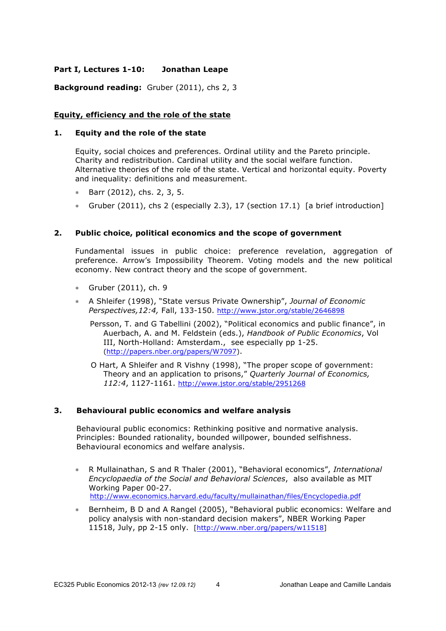## **Part I, Lectures 1-10: Jonathan Leape**

**Background reading:** Gruber (2011), chs 2, 3

### **Equity, efficiency and the role of the state**

#### **1. Equity and the role of the state**

Equity, social choices and preferences. Ordinal utility and the Pareto principle. Charity and redistribution. Cardinal utility and the social welfare function. Alternative theories of the role of the state. Vertical and horizontal equity. Poverty and inequality: definitions and measurement.

- ∗ Barr (2012), chs. 2, 3, 5.
- ∗ Gruber (2011), chs 2 (especially 2.3), 17 (section 17.1) [a brief introduction]

### **2. Public choice, political economics and the scope of government**

Fundamental issues in public choice: preference revelation, aggregation of preference. Arrow's Impossibility Theorem. Voting models and the new political economy. New contract theory and the scope of government.

- ∗ Gruber (2011), ch. 9
- ∗ A Shleifer (1998), "State versus Private Ownership", *Journal of Economic Perspectives,12:4,* Fall, 133-150. http://www.jstor.org/stable/2646898
	- Persson, T. and G Tabellini (2002), "Political economics and public finance", in Auerbach, A. and M. Feldstein (eds.), *Handbook of Public Economics*, Vol III, North-Holland: Amsterdam., see especially pp 1-25. (http://papers.nber.org/papers/W7097).
	- O Hart, A Shleifer and R Vishny (1998), "The proper scope of government: Theory and an application to prisons," *Quarterly Journal of Economics, 112:4*, 1127-1161. http://www.jstor.org/stable/2951268

### **3. Behavioural public economics and welfare analysis**

Behavioural public economics: Rethinking positive and normative analysis. Principles: Bounded rationality, bounded willpower, bounded selfishness. Behavioural economics and welfare analysis.

- ∗ R Mullainathan, S and R Thaler (2001), "Behavioral economics", *International Encyclopaedia of the Social and Behavioral Sciences*, also available as MIT Working Paper 00-27. http://www.economics.harvard.edu/faculty/mullainathan/files/Encyclopedia.pdf
- ∗ Bernheim, B D and A Rangel (2005), "Behavioral public economics: Welfare and policy analysis with non-standard decision makers", NBER Working Paper 11518, July, pp 2-15 only. [http://www.nber.org/papers/w11518]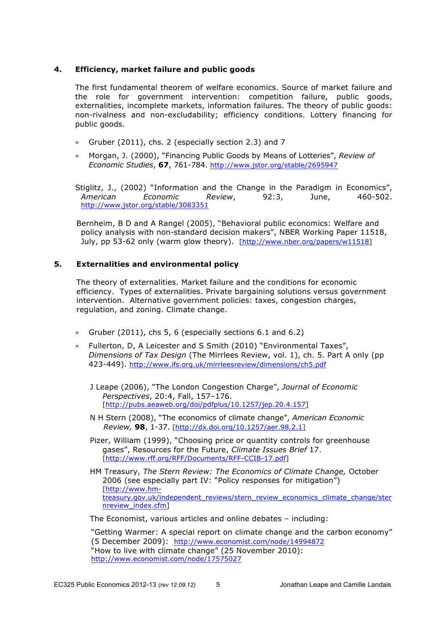### **4. Efficiency, market failure and public goods**

The first fundamental theorem of welfare economics. Source of market failure and the role for government intervention: competition failure, public goods, externalities, incomplete markets, information failures. The theory of public goods: non-rivalness and non-excludability; efficiency conditions. Lottery financing for public goods.

- ∗ Gruber (2011), chs. 2 (especially section 2.3) and 7
- ∗ Morgan, J. (2000), "Financing Public Goods by Means of Lotteries", *Review of Economic Studies*, **67**, 761-784. http://www.jstor.org/stable/2695947

Stiglitz, J., (2002) "Information and the Change in the Paradigm in Economics", *American Economic Review*, 92:3, June, 460-502. http://www.jstor.org/stable/3083351

Bernheim, B D and A Rangel (2005), "Behavioral public economics: Welfare and policy analysis with non-standard decision makers", NBER Working Paper 11518, July, pp 53-62 only (warm glow theory). [http://www.nber.org/papers/w11518]

### **5. Externalities and environmental policy**

The theory of externalities. Market failure and the conditions for economic efficiency. Types of externalities. Private bargaining solutions versus government intervention. Alternative government policies: taxes, congestion charges, regulation, and zoning. Climate change.

- ∗ Gruber (2011), chs 5, 6 (especially sections 6.1 and 6.2)
- ∗ Fullerton, D, A Leicester and S Smith (2010) "Environmental Taxes", *Dimensions of Tax Design* (The Mirrlees Review, vol. 1), ch. 5. Part A only (pp 423-449). http://www.ifs.org.uk/mirrleesreview/dimensions/ch5.pdf
	- J Leape (2006), "The London Congestion Charge", *Journal of Economic Perspectives*, 20:4, Fall, 157–176. [http://pubs.aeaweb.org/doi/pdfplus/10.1257/jep.20.4.157]
	- N H Stern (2008), "The economics of climate change", *American Economic Review,* **98**, 1-37. [http://dx.doi.org/10.1257/aer.98.2.1]
	- Pizer, William (1999), "Choosing price or quantity controls for greenhouse gases", Resources for the Future, *Climate Issues Brief* 17. [http://www.rff.org/RFF/Documents/RFF-CCIB-17.pdf]

HM Treasury, *The Stern Review: The Economics of Climate Change,* October 2006 (see especially part IV: "Policy responses for mitigation") [http://www.hmtreasury.gov.uk/independent\_reviews/stern\_review\_economics\_climate\_change/ster nreview\_index.cfm]

The Economist, various articles and online debates – including:

"Getting Warmer: A special report on climate change and the carbon economy" (5 December 2009): http://www.economist.com/node/14994872 "How to live with climate change" (25 November 2010): http://www.economist.com/node/17575027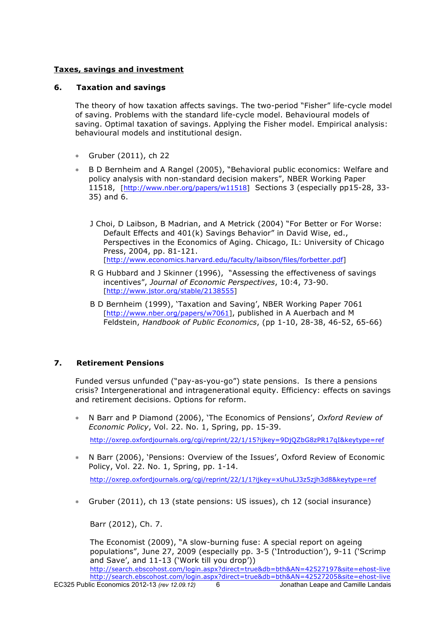## **Taxes, savings and investment**

### **6. Taxation and savings**

The theory of how taxation affects savings. The two-period "Fisher" life-cycle model of saving. Problems with the standard life-cycle model. Behavioural models of saving. Optimal taxation of savings. Applying the Fisher model. Empirical analysis: behavioural models and institutional design.

- ∗ Gruber (2011), ch 22
- ∗ B D Bernheim and A Rangel (2005), "Behavioral public economics: Welfare and policy analysis with non-standard decision makers", NBER Working Paper 11518, [http://www.nber.org/papers/w11518] Sections 3 (especially pp15-28, 33- 35) and 6.
	- J Choi, D Laibson, B Madrian, and A Metrick (2004) "For Better or For Worse: Default Effects and 401(k) Savings Behavior" in David Wise, ed., Perspectives in the Economics of Aging. Chicago, IL: University of Chicago Press, 2004, pp. 81-121. [http://www.economics.harvard.edu/faculty/laibson/files/forbetter.pdf]
	- R G Hubbard and J Skinner (1996), "Assessing the effectiveness of savings incentives", *Journal of Economic Perspectives*, 10:4, 73-90. [http://www.jstor.org/stable/2138555]
	- B D Bernheim (1999), 'Taxation and Saving', NBER Working Paper 7061 [http://www.nber.org/papers/w7061], published in A Auerbach and M Feldstein, *Handbook of Public Economics*, (pp 1-10, 28-38, 46-52, 65-66)

## **7. Retirement Pensions**

Funded versus unfunded ("pay-as-you-go") state pensions. Is there a pensions crisis? Intergenerational and intragenerational equity. Efficiency: effects on savings and retirement decisions. Options for reform.

- ∗ N Barr and P Diamond (2006), 'The Economics of Pensions', *Oxford Review of Economic Policy*, Vol. 22. No. 1, Spring, pp. 15-39. http://oxrep.oxfordjournals.org/cgi/reprint/22/1/15?ijkey=9DjQZbG8zPR17qI&keytype=ref
- ∗ N Barr (2006), 'Pensions: Overview of the Issues', Oxford Review of Economic Policy, Vol. 22. No. 1, Spring, pp. 1-14.

http://oxrep.oxfordjournals.org/cgi/reprint/22/1/1?ijkey=xUhuLJ3z5zjh3d8&keytype=ref

∗ Gruber (2011), ch 13 (state pensions: US issues), ch 12 (social insurance)

Barr (2012), Ch. 7.

The Economist (2009), "A slow-burning fuse: A special report on ageing populations", June 27, 2009 (especially pp. 3-5 ('Introduction'), 9-11 ('Scrimp and Save', and 11-13 ('Work till you drop'))

http://search.ebscohost.com/login.aspx?direct=true&db=bth&AN=42527197&site=ehost-live http://search.ebscohost.com/login.aspx?direct=true&db=bth&AN=42527205&site=ehost-live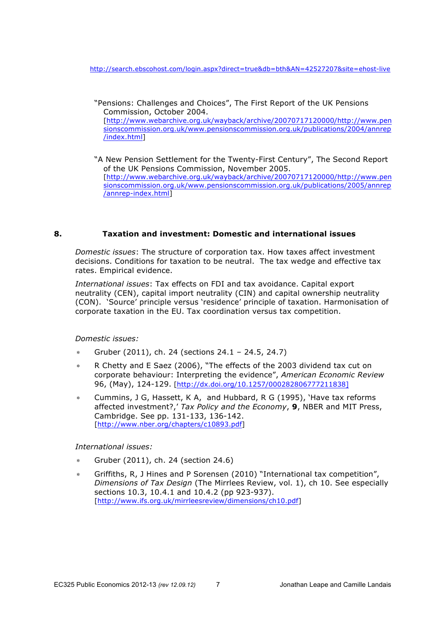http://search.ebscohost.com/login.aspx?direct=true&db=bth&AN=42527207&site=ehost-live

- "Pensions: Challenges and Choices", The First Report of the UK Pensions Commission, October 2004. [http://www.webarchive.org.uk/wayback/archive/20070717120000/http://www.pen sionscommission.org.uk/www.pensionscommission.org.uk/publications/2004/annrep /index.html]
- "A New Pension Settlement for the Twenty-First Century", The Second Report of the UK Pensions Commission, November 2005. [http://www.webarchive.org.uk/wayback/archive/20070717120000/http://www.pen sionscommission.org.uk/www.pensionscommission.org.uk/publications/2005/annrep /annrep-index.html]

### **8. Taxation and investment: Domestic and international issues**

*Domestic issues*: The structure of corporation tax. How taxes affect investment decisions. Conditions for taxation to be neutral. The tax wedge and effective tax rates. Empirical evidence.

*International issues*: Tax effects on FDI and tax avoidance. Capital export neutrality (CEN), capital import neutrality (CIN) and capital ownership neutrality (CON). 'Source' principle versus 'residence' principle of taxation. Harmonisation of corporate taxation in the EU. Tax coordination versus tax competition.

*Domestic issues:*

- ∗ Gruber (2011), ch. 24 (sections 24.1 24.5, 24.7)
- R Chetty and E Saez (2006), "The effects of the 2003 dividend tax cut on corporate behaviour: Interpreting the evidence", *American Economic Review* 96, (May), 124-129. [http://dx.doi.org/10.1257/000282806777211838]
- Cummins, J G, Hassett, K A, and Hubbard, R G (1995), 'Have tax reforms affected investment?,' *Tax Policy and the Economy*, **9**, NBER and MIT Press, Cambridge. See pp. 131-133, 136-142. [http://www.nber.org/chapters/c10893.pdf]

### *International issues:*

- ∗ Gruber (2011), ch. 24 (section 24.6)
- Griffiths, R, J Hines and P Sorensen (2010) "International tax competition", *Dimensions of Tax Design* (The Mirrlees Review, vol. 1), ch 10. See especially sections 10.3, 10.4.1 and 10.4.2 (pp 923-937). [http://www.ifs.org.uk/mirrleesreview/dimensions/ch10.pdf]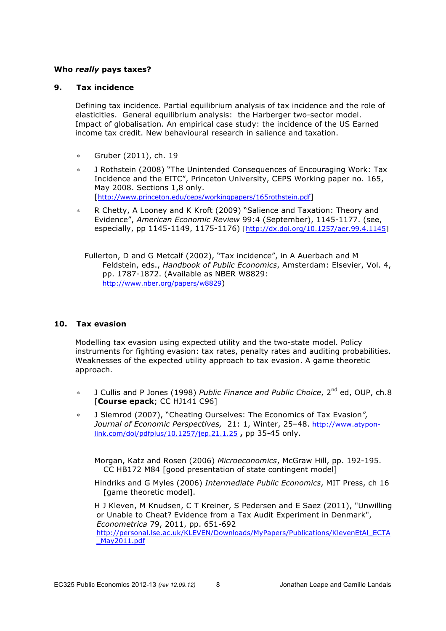### **Who** *really* **pays taxes?**

## **9. Tax incidence**

Defining tax incidence. Partial equilibrium analysis of tax incidence and the role of elasticities. General equilibrium analysis: the Harberger two-sector model. Impact of globalisation. An empirical case study: the incidence of the US Earned income tax credit. New behavioural research in salience and taxation.

- ∗ Gruber (2011), ch. 19
- ∗ J Rothstein (2008) "The Unintended Consequences of Encouraging Work: Tax Incidence and the EITC", Princeton University, CEPS Working paper no. 165, May 2008. Sections 1,8 only. [http://www.princeton.edu/ceps/workingpapers/165rothstein.pdf]
- R Chetty, A Looney and K Kroft (2009) "Salience and Taxation: Theory and Evidence", *American Economic Review* 99:4 (September), 1145-1177. (see, especially, pp 1145-1149, 1175-1176) [http://dx.doi.org/10.1257/aer.99.4.1145]

Fullerton, D and G Metcalf (2002), "Tax incidence", in A Auerbach and M Feldstein, eds., *Handbook of Public Economics*, Amsterdam: Elsevier, Vol. 4, pp. 1787-1872. (Available as NBER W8829: http://www.nber.org/papers/w8829)

## **10. Tax evasion**

Modelling tax evasion using expected utility and the two-state model. Policy instruments for fighting evasion: tax rates, penalty rates and auditing probabilities. Weaknesses of the expected utility approach to tax evasion. A game theoretic approach.

- ∗ J Cullis and P Jones (1998) *Public Finance and Public Choice*, 2nd ed, OUP, ch.8 [**Course epack**; CC HJ141 C96]
- ∗ J Slemrod (2007), "Cheating Ourselves: The Economics of Tax Evasion*", Journal of Economic Perspectives,* 21: 1, Winter, 25–48. http://www.atyponlink.com/doi/pdfplus/10.1257/jep.21.1.25 **,** pp 35-45 only.

Morgan, Katz and Rosen (2006) *Microeconomics*, McGraw Hill, pp. 192-195. CC HB172 M84 [good presentation of state contingent model]

Hindriks and G Myles (2006) *Intermediate Public Economics*, MIT Press, ch 16 [game theoretic model].

H J Kleven, M Knudsen, C T Kreiner, S Pedersen and E Saez (2011), "Unwilling or Unable to Cheat? Evidence from a Tax Audit Experiment in Denmark", *Econometrica* 79, 2011, pp. 651-692 http://personal.lse.ac.uk/KLEVEN/Downloads/MyPapers/Publications/KlevenEtAl\_ECTA \_May2011.pdf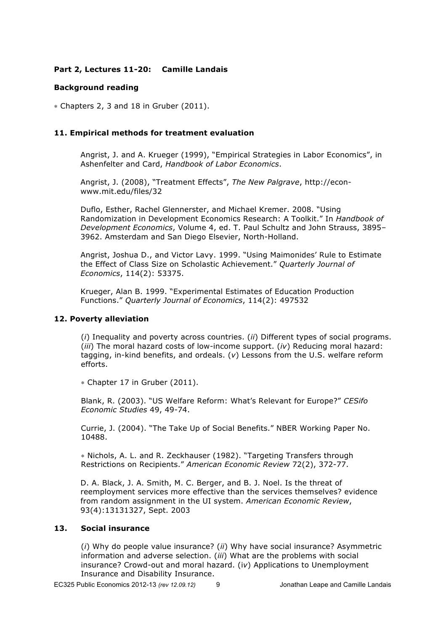### **Part 2, Lectures 11-20: Camille Landais**

### **Background reading**

∗ Chapters 2, 3 and 18 in Gruber (2011).

### **11. Empirical methods for treatment evaluation**

Angrist, J. and A. Krueger (1999), "Empirical Strategies in Labor Economics", in Ashenfelter and Card, *Handbook of Labor Economics*.

Angrist, J. (2008), "Treatment Effects", *The New Palgrave*, http://econwww.mit.edu/files/32

Duflo, Esther, Rachel Glennerster, and Michael Kremer. 2008. "Using Randomization in Development Economics Research: A Toolkit." In *Handbook of Development Economics*, Volume 4, ed. T. Paul Schultz and John Strauss, 3895– 3962. Amsterdam and San Diego Elsevier, North-Holland.

Angrist, Joshua D., and Victor Lavy. 1999. "Using Maimonides' Rule to Estimate the Effect of Class Size on Scholastic Achievement." *Quarterly Journal of Economics*, 114(2): 53375.

Krueger, Alan B. 1999. "Experimental Estimates of Education Production Functions." *Quarterly Journal of Economics*, 114(2): 497532

### **12. Poverty alleviation**

(*i*) Inequality and poverty across countries. (*ii*) Different types of social programs. (*iii*) The moral hazard costs of low-income support. (*iv*) Reducing moral hazard: tagging, in-kind benefits, and ordeals. (*v*) Lessons from the U.S. welfare reform efforts.

∗ Chapter 17 in Gruber (2011).

Blank, R. (2003). "US Welfare Reform: What's Relevant for Europe?" *CESifo Economic Studies* 49, 49-74.

Currie, J. (2004). "The Take Up of Social Benefits." NBER Working Paper No. 10488.

∗ Nichols, A. L. and R. Zeckhauser (1982). "Targeting Transfers through Restrictions on Recipients." *American Economic Review* 72(2), 372-77.

D. A. Black, J. A. Smith, M. C. Berger, and B. J. Noel. Is the threat of reemployment services more effective than the services themselves? evidence from random assignment in the UI system. *American Economic Review*, 93(4):13131327, Sept. 2003

### **13. Social insurance**

(*i*) Why do people value insurance? (*ii*) Why have social insurance? Asymmetric information and adverse selection. (*iii*) What are the problems with social insurance? Crowd-out and moral hazard. (i*v*) Applications to Unemployment Insurance and Disability Insurance.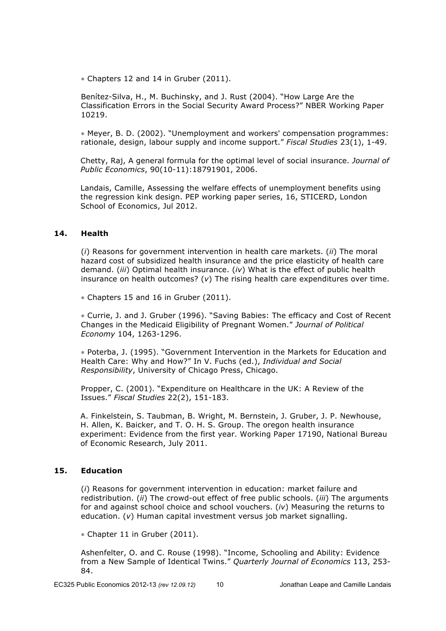∗ Chapters 12 and 14 in Gruber (2011).

Benítez-Silva, H., M. Buchinsky, and J. Rust (2004). "How Large Are the Classification Errors in the Social Security Award Process?" NBER Working Paper 10219.

∗ Meyer, B. D. (2002). "Unemployment and workers' compensation programmes: rationale, design, labour supply and income support." *Fiscal Studies* 23(1), 1-49.

Chetty, Raj, A general formula for the optimal level of social insurance. *Journal of Public Economics*, 90(10-11):18791901, 2006.

Landais, Camille, Assessing the welfare effects of unemployment benefits using the regression kink design. PEP working paper series, 16, STICERD, London School of Economics, Jul 2012.

#### **14. Health**

(*i*) Reasons for government intervention in health care markets. (*ii*) The moral hazard cost of subsidized health insurance and the price elasticity of health care demand. (*iii*) Optimal health insurance. (*iv*) What is the effect of public health insurance on health outcomes? (*v*) The rising health care expenditures over time.

∗ Chapters 15 and 16 in Gruber (2011).

∗ Currie, J. and J. Gruber (1996). "Saving Babies: The efficacy and Cost of Recent Changes in the Medicaid Eligibility of Pregnant Women." *Journal of Political Economy* 104, 1263-1296.

∗ Poterba, J. (1995). "Government Intervention in the Markets for Education and Health Care: Why and How?" In V. Fuchs (ed.), *Individual and Social Responsibility*, University of Chicago Press, Chicago.

Propper, C. (2001). "Expenditure on Healthcare in the UK: A Review of the Issues." *Fiscal Studies* 22(2), 151-183.

A. Finkelstein, S. Taubman, B. Wright, M. Bernstein, J. Gruber, J. P. Newhouse, H. Allen, K. Baicker, and T. O. H. S. Group. The oregon health insurance experiment: Evidence from the first year. Working Paper 17190, National Bureau of Economic Research, July 2011.

### **15. Education**

(*i*) Reasons for government intervention in education: market failure and redistribution. (*ii*) The crowd-out effect of free public schools. (*iii*) The arguments for and against school choice and school vouchers. (*iv*) Measuring the returns to education. (*v*) Human capital investment versus job market signalling.

∗ Chapter 11 in Gruber (2011).

Ashenfelter, O. and C. Rouse (1998). "Income, Schooling and Ability: Evidence from a New Sample of Identical Twins." *Quarterly Journal of Economics* 113, 253- 84.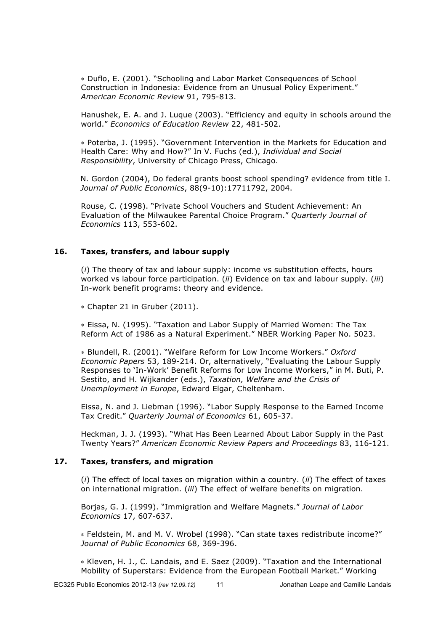∗ Duflo, E. (2001). "Schooling and Labor Market Consequences of School Construction in Indonesia: Evidence from an Unusual Policy Experiment." *American Economic Review* 91, 795-813.

Hanushek, E. A. and J. Luque (2003). "Efficiency and equity in schools around the world." *Economics of Education Review* 22, 481-502.

∗ Poterba, J. (1995). "Government Intervention in the Markets for Education and Health Care: Why and How?" In V. Fuchs (ed.), *Individual and Social Responsibility*, University of Chicago Press, Chicago.

N. Gordon (2004), Do federal grants boost school spending? evidence from title I. *Journal of Public Economics*, 88(9-10):17711792, 2004.

Rouse, C. (1998). "Private School Vouchers and Student Achievement: An Evaluation of the Milwaukee Parental Choice Program." *Quarterly Journal of Economics* 113, 553-602.

### **16. Taxes, transfers, and labour supply**

(*i*) The theory of tax and labour supply: income vs substitution effects, hours worked vs labour force participation. (*ii*) Evidence on tax and labour supply. (*iii*) In-work benefit programs: theory and evidence.

∗ Chapter 21 in Gruber (2011).

∗ Eissa, N. (1995). "Taxation and Labor Supply of Married Women: The Tax Reform Act of 1986 as a Natural Experiment." NBER Working Paper No. 5023.

∗ Blundell, R. (2001). "Welfare Reform for Low Income Workers." *Oxford Economic Papers* 53, 189-214. Or, alternatively, "Evaluating the Labour Supply Responses to 'In-Work' Benefit Reforms for Low Income Workers," in M. Buti, P. Sestito, and H. Wijkander (eds.), *Taxation, Welfare and the Crisis of Unemployment in Europe*, Edward Elgar, Cheltenham.

Eissa, N. and J. Liebman (1996). "Labor Supply Response to the Earned Income Tax Credit." *Quarterly Journal of Economics* 61, 605-37.

Heckman, J. J. (1993). "What Has Been Learned About Labor Supply in the Past Twenty Years?" *American Economic Review Papers and Proceedings* 83, 116-121.

### **17. Taxes, transfers, and migration**

(*i*) The effect of local taxes on migration within a country. (*ii*) The effect of taxes on international migration. (*iii*) The effect of welfare benefits on migration.

Borjas, G. J. (1999). "Immigration and Welfare Magnets." *Journal of Labor Economics* 17, 607-637.

∗ Feldstein, M. and M. V. Wrobel (1998). "Can state taxes redistribute income?" *Journal of Public Economics* 68, 369-396.

∗ Kleven, H. J., C. Landais, and E. Saez (2009). "Taxation and the International Mobility of Superstars: Evidence from the European Football Market." Working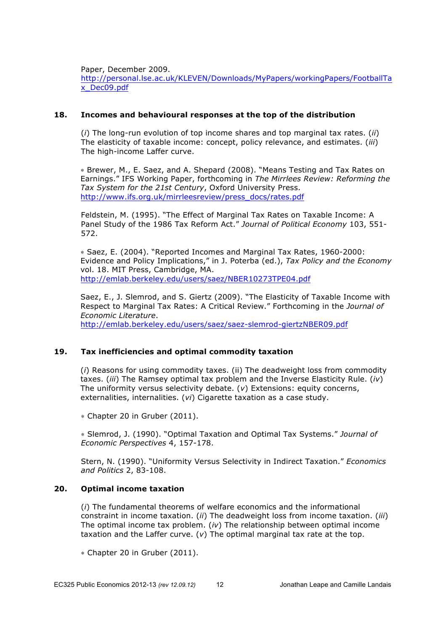Paper, December 2009.

http://personal.lse.ac.uk/KLEVEN/Downloads/MyPapers/workingPapers/FootballTa x\_Dec09.pdf

### **18. Incomes and behavioural responses at the top of the distribution**

(*i*) The long-run evolution of top income shares and top marginal tax rates. (*ii*) The elasticity of taxable income: concept, policy relevance, and estimates. (*iii*) The high-income Laffer curve.

∗ Brewer, M., E. Saez, and A. Shepard (2008). "Means Testing and Tax Rates on Earnings." IFS Working Paper, forthcoming in *The Mirrlees Review: Reforming the Tax System for the 21st Century*, Oxford University Press. http://www.ifs.org.uk/mirrleesreview/press\_docs/rates.pdf

Feldstein, M. (1995). "The Effect of Marginal Tax Rates on Taxable Income: A Panel Study of the 1986 Tax Reform Act." *Journal of Political Economy* 103, 551- 572.

∗ Saez, E. (2004). "Reported Incomes and Marginal Tax Rates, 1960-2000: Evidence and Policy Implications," in J. Poterba (ed.), *Tax Policy and the Economy* vol. 18. MIT Press, Cambridge, MA. http://emlab.berkeley.edu/users/saez/NBER10273TPE04.pdf

Saez, E., J. Slemrod, and S. Giertz (2009). "The Elasticity of Taxable Income with Respect to Marginal Tax Rates: A Critical Review." Forthcoming in the *Journal of Economic Literature*. http://emlab.berkeley.edu/users/saez/saez-slemrod-giertzNBER09.pdf

## **19. Tax inefficiencies and optimal commodity taxation**

(*i*) Reasons for using commodity taxes. (ii) The deadweight loss from commodity taxes. (*iii*) The Ramsey optimal tax problem and the Inverse Elasticity Rule. (*iv*) The uniformity versus selectivity debate. (*v*) Extensions: equity concerns, externalities, internalities. (*vi*) Cigarette taxation as a case study.

∗ Chapter 20 in Gruber (2011).

∗ Slemrod, J. (1990). "Optimal Taxation and Optimal Tax Systems." *Journal of Economic Perspectives* 4, 157-178.

Stern, N. (1990). "Uniformity Versus Selectivity in Indirect Taxation." *Economics and Politics* 2, 83-108.

### **20. Optimal income taxation**

(*i*) The fundamental theorems of welfare economics and the informational constraint in income taxation. (*ii*) The deadweight loss from income taxation. (*iii*) The optimal income tax problem. (*iv*) The relationship between optimal income taxation and the Laffer curve. (*v*) The optimal marginal tax rate at the top.

∗ Chapter 20 in Gruber (2011).